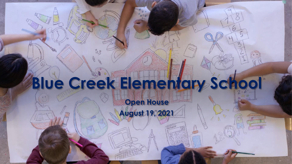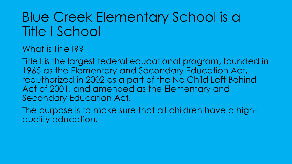# Blue Creek Elementary School is a Title I School

What is Title 1??

Title I is the largest federal educational program, founded in 1965 as the Elementary and Secondary Education Act, reauthorized in 2002 as a part of the No Child Left Behind Act of 2001, and amended as the Elementary and Secondary Education Act.

The purpose is to make sure that all children have a highquality education.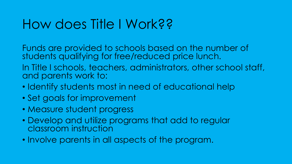## How does Title I Work??

Funds are provided to schools based on the number of students qualifying for free/reduced price lunch.

In Title I schools, teachers, administrators, other school staff, and parents work to:

- Identify students most in need of educational help
- Set goals for improvement
- Measure student progress
- Develop and utilize programs that add to regular classroom instruction
- Involve parents in all aspects of the program.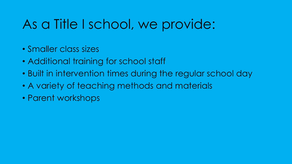# As a Title I school, we provide:

- Smaller class sizes
- Additional training for school staff
- Built in intervention times during the regular school day
- A variety of teaching methods and materials
- Parent workshops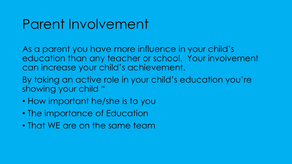## Parent Involvement

As a parent you have more influence in your child's education than any teacher or school. Your involvement can increase your child's achievement.

By taking an active role in your child's education you're showing your child "

- How important he/she is to you
- The importance of Education
- That WE are on the same team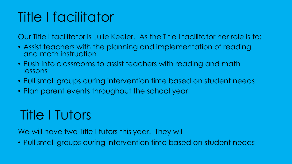# Title I facilitator

Our Title I facilitator is Julie Keeler. As the Title I facilitator her role is to:

- Assist teachers with the planning and implementation of reading and math instruction
- Push into classrooms to assist teachers with reading and math lessons
- Pull small groups during intervention time based on student needs
- Plan parent events throughout the school year

# Title I Tutors

We will have two Title I tutors this year. They will

• Pull small groups during intervention time based on student needs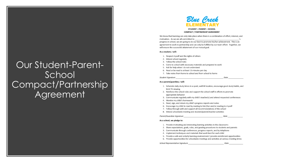### Our Student-Parent-School Compact/Partnership Agreement



We know that learning can only take place when there is a combination of effort, interest, and motivation. As we are all committed to progress in school, we are going to do our best to promote his/her achievement. This is an agreement to work in partnership and can only be fulfilled by our team effort. Together, we will ensure the successful attainment of our mutual goal.

#### As a student, I will:

- 1. Respect myself and the rights of others
- 2. Attend school regularly
- 3. Follow the school rules
- 4. Come to school with necessary materials and prepared to work
- 5. Ask for help when I do not understand
- 6. Read or be read to at least 15 minutes per day
- 7. Take notes from home to school and from school to home

Student Signature

Date

Date

### As a parent/guardian, I will:

- 1. Schedule daily study times in a quiet, well-lit location, encourage good study habits, and limit TV viewing
- 2. Reinforce the school rules and support the school staff in efforts to promote appropriate behavior
- 3. Communicate regularly with my child's teacher(s) and attend requested conferences
- 4. Monitor my child's homework
- 5. Read, sign, and return my child's progress reports and notes
- 6. Encourage my child to read by reading to him/her and/or reading to myself
- 7. Follow through with and support all recommendations of the school
- 8. Attend schoolwide meeting and student/parent/teacher activities

Parent/Guardian Signature

### As a school, we pledge to:

1. Provide motivating and interesting learning activities in the classrooms

- 2. Share expectations, goals, rules, and grading procedures to students and parents
- 3. Communicate through conferences, progress reports, and by telephone
- 4. Implement techniques and materials that work best for each child
- 5. Provide a safe and orderly learning environment / provide enrichment opportunities
- 6. Provide opportunities for schoolwide meetings and activities at various meeting times

School Representative Signature